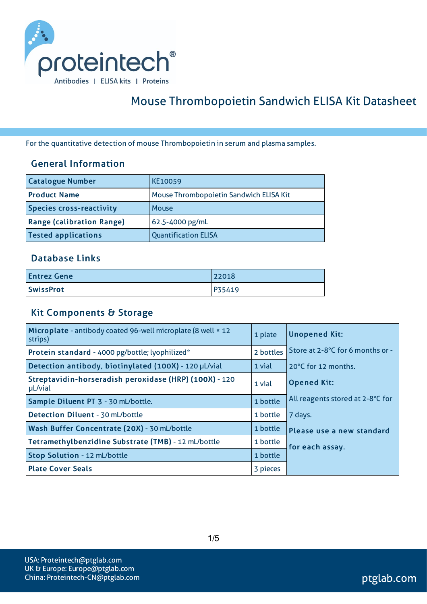

# Mouse Thrombopoietin Sandwich ELISA Kit Datasheet

For the quantitative detection of mouse Thrombopoietin in serum and plasma samples.

#### General Information

| <b>Catalogue Number</b>          | KE10059                                 |
|----------------------------------|-----------------------------------------|
| <b>Product Name</b>              | Mouse Thrombopoietin Sandwich ELISA Kit |
| <b>Species cross-reactivity</b>  | Mouse                                   |
| <b>Range (calibration Range)</b> | 62.5-4000 pg/mL                         |
| <b>Tested applications</b>       | <b>Quantification ELISA</b>             |

#### Database Links

| <b>Entrez Gene</b> | 22018  |
|--------------------|--------|
| <b>SwissProt</b>   | P35419 |

### Kit Components & Storage

| Microplate - antibody coated 96-well microplate (8 well × 12<br>strips) | 1 plate  | <b>Unopened Kit:</b>             |
|-------------------------------------------------------------------------|----------|----------------------------------|
| 2 bottles<br>Protein standard - 4000 pg/bottle; lyophilized*            |          | Store at 2-8°C for 6 months or - |
| Detection antibody, biotinylated (100X) - 120 µL/vial                   | 1 vial   | 20°C for 12 months.              |
| Streptavidin-horseradish peroxidase (HRP) (100X) - 120<br>µL/vial       |          | <b>Opened Kit:</b>               |
| Sample Diluent PT 3 - 30 mL/bottle.                                     |          | All reagents stored at 2-8°C for |
| Detection Diluent - 30 mL/bottle                                        |          | 7 days.                          |
| Wash Buffer Concentrate (20X) - 30 mL/bottle                            |          | Please use a new standard        |
| Tetramethylbenzidine Substrate (TMB) - 12 mL/bottle                     |          | for each assay.                  |
| Stop Solution - 12 mL/bottle                                            | 1 bottle |                                  |
| <b>Plate Cover Seals</b>                                                | 3 pieces |                                  |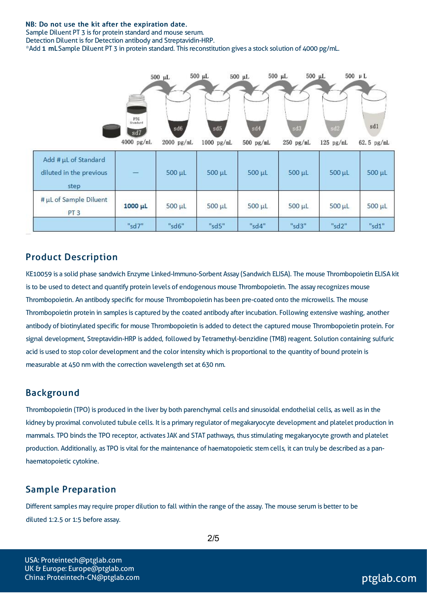#### NB: Do not use the kit after the expiration date.

Sample Diluent PT 3 isfor protein standard and mouse serum. Detection Diluent is for Detection antibody and Streptavidin-HRP.

\*Add 1 mLSample Diluent PT 3 in protein standard. Thisreconstitution gives a stock solution of 4000 pg/mL.



#### Product Description

KE10059 is a solid phase sandwich Enzyme Linked-Immuno-Sorbent Assay (Sandwich ELISA). The mouse Thrombopoietin ELISA kit is to be used to detect and quantify protein levels of endogenous mouse Thrombopoietin. The assay recognizes mouse Thrombopoietin. An antibody specific for mouse Thrombopoietin has been pre-coated onto the microwells. The mouse Thrombopoietin protein in samples is captured by the coated antibody after incubation. Following extensive washing, another antibody of biotinylated specific for mouse Thrombopoietin is added to detect the captured mouse Thrombopoietin protein. For signal development, Streptavidin-HRP is added, followed by Tetramethyl-benzidine (TMB) reagent. Solution containing sulfuric acid is used to stop color development and the color intensitywhich is proportional to the quantity of bound protein is measurable at 450 nm with the correction wavelength set at 630 nm.

#### Background

Thrombopoietin (TPO) is produced in the liver by both parenchymal cells and sinusoidal endothelial cells, aswell asin the kidney by proximal convoluted tubule cells. It is a primary regulator of megakaryocyte development and platelet production in mammals. TPO binds the TPO receptor, activates JAK and STAT pathways, thus stimulating megakaryocyte growth and platelet production. Additionally, as TPO is vital for the maintenance of haematopoietic stem cells, it can truly be described as a panhaematopoietic cytokine.

#### Sample Preparation

Different samples may require proper dilution to fall within the range of the assay. The mouse serum is better to be diluted 1:2.5 or 1:5 before assay.

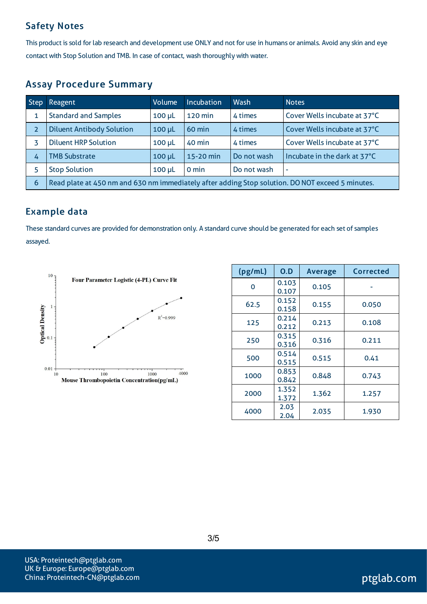### Safety Notes

This product is sold for lab research and development use ONLY and not for use in humans or animals. Avoid any skin and eye contact with Stop Solution and TMB. In case of contact, wash thoroughly with water.

### Assay Procedure Summary

| <b>Step</b>    | Reagent                                                                                          | <b>Volume</b> | <b>Incubation</b> | Wash        | <b>Notes</b>                 |
|----------------|--------------------------------------------------------------------------------------------------|---------------|-------------------|-------------|------------------------------|
| 1              | <b>Standard and Samples</b>                                                                      | $100 \mu L$   | 120 min           | 4 times     | Cover Wells incubate at 37°C |
| $\overline{2}$ | <b>Diluent Antibody Solution</b>                                                                 | $100 \mu L$   | 60 min            | 4 times     | Cover Wells incubate at 37°C |
|                | <b>Diluent HRP Solution</b>                                                                      | $100 \mu L$   | 40 min            | 4 times     | Cover Wells incubate at 37°C |
| 4              | <b>TMB Substrate</b>                                                                             | $100 \mu L$   | 15-20 min         | Do not wash | Incubate in the dark at 37°C |
|                | <b>Stop Solution</b>                                                                             | $100$ $\mu$ L | 0 min             | Do not wash | ٠                            |
| 6              | Read plate at 450 nm and 630 nm immediately after adding Stop solution. DO NOT exceed 5 minutes. |               |                   |             |                              |

#### Example data

These standard curves are provided for demonstration only. A standard curve should be generated for each set of samples assayed.



| (pg/mL) | 0.D            | <b>Average</b> | Corrected |
|---------|----------------|----------------|-----------|
| 0       | 0.103<br>0.107 | 0.105          |           |
| 62.5    | 0.152<br>0.158 | 0.155          | 0.050     |
| 125     | 0.214<br>0.212 | 0.213          | 0.108     |
| 250     | 0.315<br>0.316 | 0.316          | 0.211     |
| 500     | 0.514<br>0.515 | 0.515          | 0.41      |
| 1000    | 0.853<br>0.842 | 0.848          | 0.743     |
| 2000    | 1.352<br>1.372 | 1.362          | 1.257     |
| 4000    | 2.03<br>2.04   | 2.035          | 1.930     |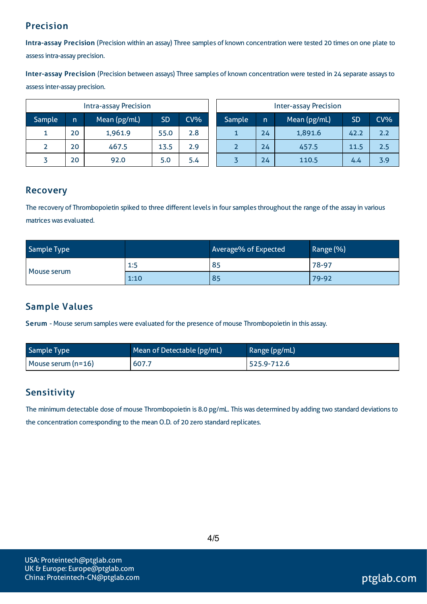### Precision

Intra-assay Precision (Precision within an assay) Three samples of known concentration were tested 20 times on one plate to assessintra-assay precision.

Inter-assay Precision (Precision between assays) Three samples of known concentration were tested in 24 separate assaysto assessinter-assay precision.

| <b>Intra-assay Precision</b> |    |              |           |     |
|------------------------------|----|--------------|-----------|-----|
| Sample                       | n  | Mean (pg/mL) | <b>SD</b> | CV% |
|                              | 20 | 1,961.9      | 55.0      | 2.8 |
|                              | 20 | 467.5        | 13.5      | 2.9 |
|                              | 20 | 92.0         | 5.0       | 5.4 |

| <b>Inter-assay Precision</b> |    |              |           |        |
|------------------------------|----|--------------|-----------|--------|
| Sample                       | n  | Mean (pg/mL) | <b>SD</b> | $CV\%$ |
|                              | 24 | 1,891.6      | 42.2      | 2.2    |
|                              | 24 | 457.5        | 11.5      | 2.5    |
|                              | 24 | 110.5        | 4.4       | 3.9    |

#### Recovery

The recovery of Thrombopoietin spiked to three different levels in four samples throughout the range of the assay in various matrices was evaluated.

| Sample Type |      | Average% of Expected | Range (%) |
|-------------|------|----------------------|-----------|
| Mouse serum | 1:5  | 85                   | $78-97$   |
|             | 1:10 | 85                   | 79-92     |

## Sample Values

Serum - Mouse serum samples were evaluated for the presence of mouse Thrombopoietin in this assay.

| Sample Type          | Mean of Detectable (pg/mL) | Range (pg/mL) |
|----------------------|----------------------------|---------------|
| Mouse serum $(n=16)$ | 607.7                      | 525.9-712.6   |

### **Sensitivity**

The minimum detectable dose of mouse Thrombopoietin is 8.0 pg/mL. This was determined by adding two standard deviations to the concentration corresponding to the mean O.D. of 20 zero standard replicates.